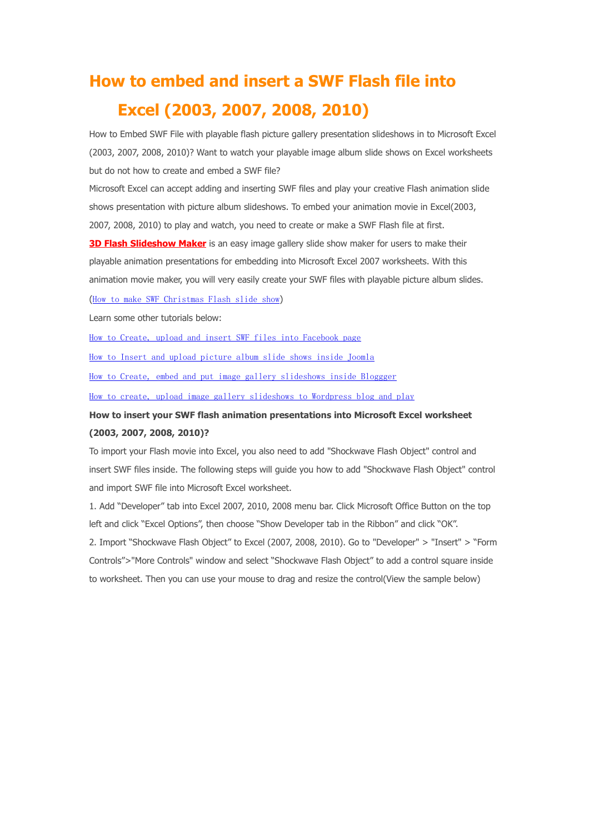## **How to embed and insert a SWF Flash file into Excel (2003, 2007, 2008, 2010)**

How to Embed SWF File with playable flash picture gallery presentation slideshows in to Microsoft Excel (2003, 2007, 2008, 2010)? Want to watch your playable image album slide shows on Excel worksheets but do not how to create and embed a SWF file?

Microsoft Excel can accept adding and inserting SWF files and play your creative Flash animation slide shows presentation with picture album slideshows. To embed your animation movie in Excel(2003, 2007, 2008, 2010) to play and watch, you need to create or make a SWF Flash file at first.

**[3D Flash Slideshow Maker](http://flash.dvd-photo-slideshow.com/)** is an easy image gallery slide show maker for users to make their playable animation presentations for embedding into Microsoft Excel 2007 worksheets. With this animation movie maker, you will very easily create your SWF files with playable picture album slides.

([How to make SWF Christmas Flash slide show](http://www.dvd-photo-slideshow.com/christmas-picture-slideshow-gallery.html))

Learn some other tutorials below:

[How to Create, upload and insert SWF files into Facebook page](http://www.dvd-photo-slideshow.com/embed-swf-flash-file-to-facebook-page.html)

[How to Insert and upload picture album slide shows inside Joomla](http://www.dvd-photo-slideshow.com/joomla-picture-flash-slide-show.html)

[How to Create, embed and put image gallery slideshows inside Bloggger](http://www.dvd-photo-slideshow.com/embed-gallery-slide-show-to-blogspot.html)

[How to create, upload image gallery slideshows to Wordpress blog and play](http://www.dvd-photo-slideshow.com/embed-swf-slide-show-to-wordpress.html)

## **How to insert your SWF flash animation presentations into Microsoft Excel worksheet (2003, 2007, 2008, 2010)?**

To import your Flash movie into Excel, you also need to add "Shockwave Flash Object" control and insert SWF files inside. The following steps will guide you how to add "Shockwave Flash Object" control and import SWF file into Microsoft Excel worksheet.

1. Add "Developer" tab into Excel 2007, 2010, 2008 menu bar. Click Microsoft Office Button on the top left and click "Excel Options", then choose "Show Developer tab in the Ribbon" and click "OK".

2. Import "Shockwave Flash Object" to Excel (2007, 2008, 2010). Go to "Developer" > "Insert" > "Form Controls">"More Controls" window and select "Shockwave Flash Object" to add a control square inside to worksheet. Then you can use your mouse to drag and resize the control(View the sample below)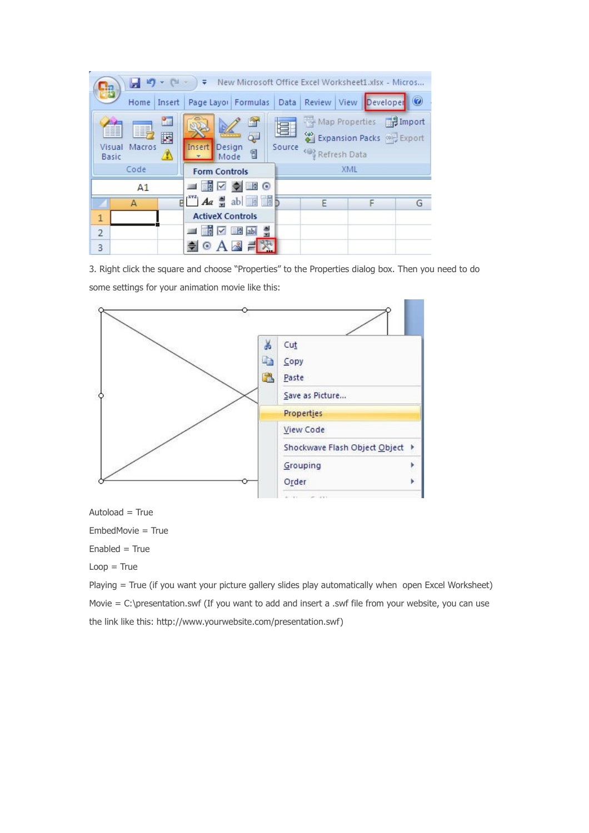| $ [$ $\mathbb{N}$ $-$<br>New Microsoft Office Excel Worksheet1.xlsx - Micros<br>日り<br>₹<br>п.                                                                                          |                                                                                 |     |   |   |  |
|----------------------------------------------------------------------------------------------------------------------------------------------------------------------------------------|---------------------------------------------------------------------------------|-----|---|---|--|
| <mark>Ejës</mark><br>Review View Developer<br>Data<br>Insert   Page Layor   Formulas<br>Home                                                                                           |                                                                                 |     |   |   |  |
| 崔<br>Map Properties <b>P. Import</b><br>ft o<br>冒<br>圛<br>Expansion Packs Export<br>Ę<br>Source<br>Insert<br>Design<br>Visual<br>Macros<br>1<br><@} Refresh Data<br>Ŋ<br>Mode<br>Basic |                                                                                 |     |   |   |  |
| Code<br><b>Form Controls</b>                                                                                                                                                           |                                                                                 | XML |   |   |  |
| A <sub>1</sub>                                                                                                                                                                         |                                                                                 |     |   |   |  |
| A                                                                                                                                                                                      | $\mathbb{E}[\mathbb{I}^N]$ $A\alpha$ $\mathbb{I}$ ab $\mathbb{E}[\mathbb{I}^N]$ | F   | F | G |  |
| $\mathbf{1}$                                                                                                                                                                           | <b>ActiveX Controls</b>                                                         |     |   |   |  |
| $\overline{2}$                                                                                                                                                                         | <u>▐</u> ▐▐▊ <mark>ᇒ</mark>                                                     |     |   |   |  |
| 3                                                                                                                                                                                      | $\circ$ A $\stackrel{\circ}{\sim}$ =                                            |     |   |   |  |

3. Right click the square and choose "Properties" to the Properties dialog box. Then you need to do some settings for your animation movie like this:



 $Autoload = True$ 

EmbedMovie = True

 $Enabled = True$ 

 $Loop = True$ 

Playing = True (if you want your picture gallery slides play automatically when open Excel Worksheet) Movie = C:\presentation.swf (If you want to add and insert a .swf file from your website, you can use the link like this: http://www.yourwebsite.com/presentation.swf)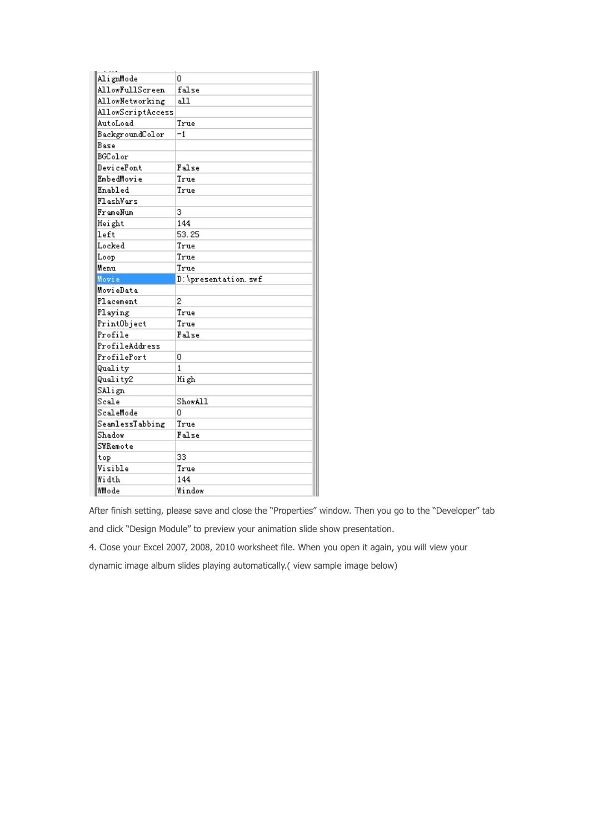| AlignMode         | 0                   |
|-------------------|---------------------|
| AllowFullScreen   | false               |
| AllowNetworking   | all.                |
| AllowScriptAccess |                     |
| AutoLoad          | True                |
| BackgroundColor   | -1                  |
| Base              |                     |
| BGColor           |                     |
| DeviceFont        | False               |
| <b>EmbedMovie</b> | True                |
| Enabled           | True                |
| FlashVars         |                     |
| FrameNum          | 3                   |
| Height            | 144                 |
| left              | 53.25               |
| Locked            | True                |
| Loop              | True                |
| Menu              | True                |
| Movie             | D:\presentation.swf |
| MovieData         |                     |
| Placement         | 2                   |
| Playing           | True                |
| PrintObject       | True                |
| Profile           | False               |
| ProfileAddress    |                     |
| ProfilePort       | 0                   |
| Quality           | $\mathbf{1}$        |
| Quality2          | High                |
| SAlign            |                     |
| Scale             | ShowAll             |
| ScaleMode         | Ω                   |
| SeamlessTabbing   | True                |
| Shadow            | False               |
| SWRemote          |                     |
| top               | 33                  |
| Visible           | True                |
| Width             | 144                 |
| WMode             | Window              |

After finish setting, please save and close the "Properties" window. Then you go to the "Developer" tab

and click "Design Module" to preview your animation slide show presentation.

4. Close your Excel 2007, 2008, 2010 worksheet file. When you open it again, you will view your

dynamic image album slides playing automatically.( view sample image below)